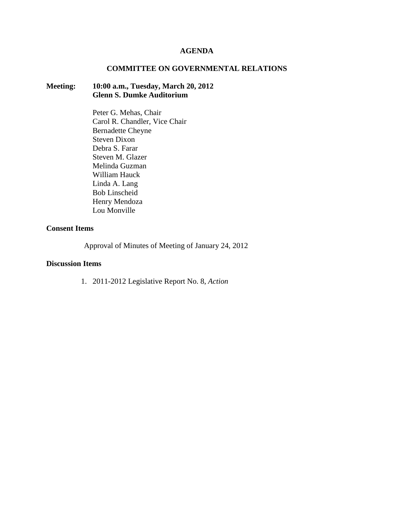## **AGENDA**

### **COMMITTEE ON GOVERNMENTAL RELATIONS**

## **Meeting: 10:00 a.m., Tuesday, March 20, 2012 Glenn S. Dumke Auditorium**

Peter G. Mehas, Chair Carol R. Chandler, Vice Chair Bernadette Cheyne Steven Dixon Debra S. Farar Steven M. Glazer Melinda Guzman William Hauck Linda A. Lang Bob Linscheid Henry Mendoza Lou Monville

## **Consent Items**

Approval of Minutes of Meeting of January 24, 2012

## **Discussion Items**

1. 2011-2012 Legislative Report No. 8, *Action*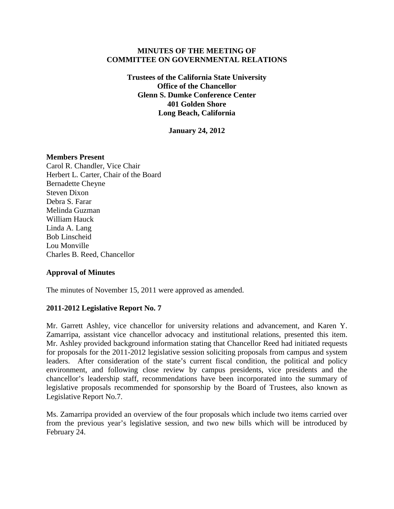## **MINUTES OF THE MEETING OF COMMITTEE ON GOVERNMENTAL RELATIONS**

**Trustees of the California State University Office of the Chancellor Glenn S. Dumke Conference Center 401 Golden Shore Long Beach, California**

**January 24, 2012**

### **Members Present**

Carol R. Chandler, Vice Chair Herbert L. Carter, Chair of the Board Bernadette Cheyne Steven Dixon Debra S. Farar Melinda Guzman William Hauck Linda A. Lang Bob Linscheid Lou Monville Charles B. Reed, Chancellor

## **Approval of Minutes**

The minutes of November 15, 2011 were approved as amended.

## **2011-2012 Legislative Report No. 7**

Mr. Garrett Ashley, vice chancellor for university relations and advancement, and Karen Y. Zamarripa, assistant vice chancellor advocacy and institutional relations, presented this item. Mr. Ashley provided background information stating that Chancellor Reed had initiated requests for proposals for the 2011-2012 legislative session soliciting proposals from campus and system leaders. After consideration of the state's current fiscal condition, the political and policy environment, and following close review by campus presidents, vice presidents and the chancellor's leadership staff, recommendations have been incorporated into the summary of legislative proposals recommended for sponsorship by the Board of Trustees, also known as Legislative Report No.7.

Ms. Zamarripa provided an overview of the four proposals which include two items carried over from the previous year's legislative session, and two new bills which will be introduced by February 24.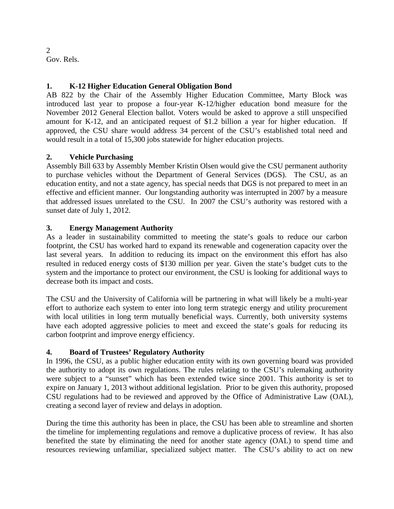2 Gov. Rels.

# **1. K-12 Higher Education General Obligation Bond**

AB 822 by the Chair of the Assembly Higher Education Committee, Marty Block was introduced last year to propose a four-year K-12/higher education bond measure for the November 2012 General Election ballot. Voters would be asked to approve a still unspecified amount for K-12, and an anticipated request of \$1.2 billion a year for higher education. If approved, the CSU share would address 34 percent of the CSU's established total need and would result in a total of 15,300 jobs statewide for higher education projects.

# **2. Vehicle Purchasing**

Assembly Bill 633 by Assembly Member Kristin Olsen would give the CSU permanent authority to purchase vehicles without the Department of General Services (DGS). The CSU, as an education entity, and not a state agency, has special needs that DGS is not prepared to meet in an effective and efficient manner. Our longstanding authority was interrupted in 2007 by a measure that addressed issues unrelated to the CSU. In 2007 the CSU's authority was restored with a sunset date of July 1, 2012.

## **3. Energy Management Authority**

As a leader in sustainability committed to meeting the state's goals to reduce our carbon footprint, the CSU has worked hard to expand its renewable and cogeneration capacity over the last several years. In addition to reducing its impact on the environment this effort has also resulted in reduced energy costs of \$130 million per year. Given the state's budget cuts to the system and the importance to protect our environment, the CSU is looking for additional ways to decrease both its impact and costs.

The CSU and the University of California will be partnering in what will likely be a multi-year effort to authorize each system to enter into long term strategic energy and utility procurement with local utilities in long term mutually beneficial ways. Currently, both university systems have each adopted aggressive policies to meet and exceed the state's goals for reducing its carbon footprint and improve energy efficiency.

# **4. Board of Trustees' Regulatory Authority**

In 1996, the CSU, as a public higher education entity with its own governing board was provided the authority to adopt its own regulations. The rules relating to the CSU's rulemaking authority were subject to a "sunset" which has been extended twice since 2001. This authority is set to expire on January 1, 2013 without additional legislation. Prior to be given this authority, proposed CSU regulations had to be reviewed and approved by the Office of Administrative Law (OAL), creating a second layer of review and delays in adoption.

During the time this authority has been in place, the CSU has been able to streamline and shorten the timeline for implementing regulations and remove a duplicative process of review. It has also benefited the state by eliminating the need for another state agency (OAL) to spend time and resources reviewing unfamiliar, specialized subject matter. The CSU's ability to act on new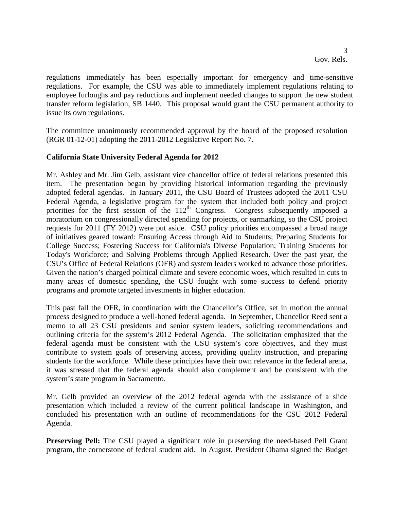regulations immediately has been especially important for emergency and time-sensitive regulations. For example, the CSU was able to immediately implement regulations relating to employee furloughs and pay reductions and implement needed changes to support the new student transfer reform legislation, SB 1440. This proposal would grant the CSU permanent authority to issue its own regulations.

The committee unanimously recommended approval by the board of the proposed resolution (RGR 01-12-01) adopting the 2011-2012 Legislative Report No. 7.

### **California State University Federal Agenda for 2012**

Mr. Ashley and Mr. Jim Gelb, assistant vice chancellor office of federal relations presented this item. The presentation began by providing historical information regarding the previously adopted federal agendas. In January 2011, the CSU Board of Trustees adopted the 2011 CSU Federal Agenda, a legislative program for the system that included both policy and project priorities for the first session of the  $112<sup>th</sup>$  Congress. Congress subsequently imposed a moratorium on congressionally directed spending for projects, or earmarking, so the CSU project requests for 2011 (FY 2012) were put aside. CSU policy priorities encompassed a broad range of initiatives geared toward: Ensuring Access through Aid to Students; Preparing Students for College Success; Fostering Success for California's Diverse Population; Training Students for Today's Workforce; and Solving Problems through Applied Research. Over the past year, the CSU's Office of Federal Relations (OFR) and system leaders worked to advance those priorities. Given the nation's charged political climate and severe economic woes, which resulted in cuts to many areas of domestic spending, the CSU fought with some success to defend priority programs and promote targeted investments in higher education.

This past fall the OFR, in coordination with the Chancellor's Office, set in motion the annual process designed to produce a well-honed federal agenda. In September, Chancellor Reed sent a memo to all 23 CSU presidents and senior system leaders, soliciting recommendations and outlining criteria for the system's 2012 Federal Agenda. The solicitation emphasized that the federal agenda must be consistent with the CSU system's core objectives, and they must contribute to system goals of preserving access, providing quality instruction, and preparing students for the workforce. While these principles have their own relevance in the federal arena, it was stressed that the federal agenda should also complement and be consistent with the system's state program in Sacramento.

Mr. Gelb provided an overview of the 2012 federal agenda with the assistance of a slide presentation which included a review of the current political landscape in Washington, and concluded his presentation with an outline of recommendations for the CSU 2012 Federal Agenda.

**Preserving Pell:** The CSU played a significant role in preserving the need-based Pell Grant program, the cornerstone of federal student aid. In August, President Obama signed the Budget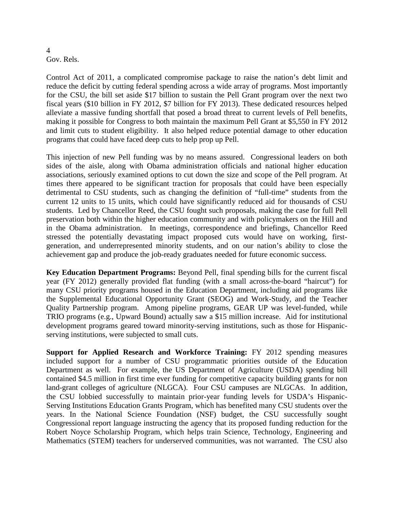#### 4 Gov. Rels.

Control Act of 2011, a complicated compromise package to raise the nation's debt limit and reduce the deficit by cutting federal spending across a wide array of programs. Most importantly for the CSU, the bill set aside \$17 billion to sustain the Pell Grant program over the next two fiscal years (\$10 billion in FY 2012, \$7 billion for FY 2013). These dedicated resources helped alleviate a massive funding shortfall that posed a broad threat to current levels of Pell benefits, making it possible for Congress to both maintain the maximum Pell Grant at \$5,550 in FY 2012 and limit cuts to student eligibility. It also helped reduce potential damage to other education programs that could have faced deep cuts to help prop up Pell.

This injection of new Pell funding was by no means assured. Congressional leaders on both sides of the aisle, along with Obama administration officials and national higher education associations, seriously examined options to cut down the size and scope of the Pell program. At times there appeared to be significant traction for proposals that could have been especially detrimental to CSU students, such as changing the definition of "full-time" students from the current 12 units to 15 units, which could have significantly reduced aid for thousands of CSU students. Led by Chancellor Reed, the CSU fought such proposals, making the case for full Pell preservation both within the higher education community and with policymakers on the Hill and in the Obama administration. In meetings, correspondence and briefings, Chancellor Reed stressed the potentially devastating impact proposed cuts would have on working, firstgeneration, and underrepresented minority students, and on our nation's ability to close the achievement gap and produce the job-ready graduates needed for future economic success.

**Key Education Department Programs:** Beyond Pell, final spending bills for the current fiscal year (FY 2012) generally provided flat funding (with a small across-the-board "haircut") for many CSU priority programs housed in the Education Department, including aid programs like the Supplemental Educational Opportunity Grant (SEOG) and Work-Study, and the Teacher Quality Partnership program. Among pipeline programs, GEAR UP was level-funded, while TRIO programs (e.g., Upward Bound) actually saw a \$15 million increase. Aid for institutional development programs geared toward minority-serving institutions, such as those for Hispanicserving institutions, were subjected to small cuts.

**Support for Applied Research and Workforce Training:** FY 2012 spending measures included support for a number of CSU programmatic priorities outside of the Education Department as well. For example, the US Department of Agriculture (USDA) spending bill contained \$4.5 million in first time ever funding for competitive capacity building grants for non land-grant colleges of agriculture (NLGCA). Four CSU campuses are NLGCAs. In addition, the CSU lobbied successfully to maintain prior-year funding levels for USDA's Hispanic-Serving Institutions Education Grants Program, which has benefited many CSU students over the years. In the National Science Foundation (NSF) budget, the CSU successfully sought Congressional report language instructing the agency that its proposed funding reduction for the Robert Noyce Scholarship Program, which helps train Science, Technology, Engineering and Mathematics (STEM) teachers for underserved communities, was not warranted. The CSU also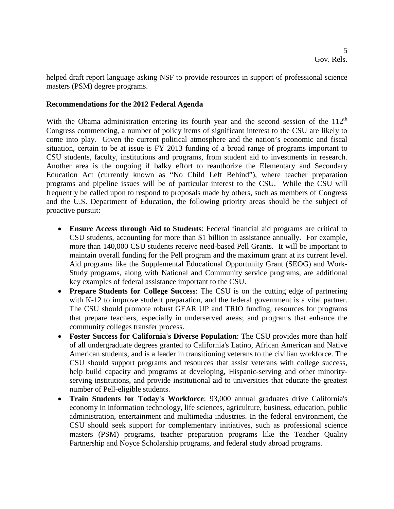helped draft report language asking NSF to provide resources in support of professional science masters (PSM) degree programs.

### **Recommendations for the 2012 Federal Agenda**

With the Obama administration entering its fourth year and the second session of the  $112<sup>th</sup>$ Congress commencing, a number of policy items of significant interest to the CSU are likely to come into play. Given the current political atmosphere and the nation's economic and fiscal situation, certain to be at issue is FY 2013 funding of a broad range of programs important to CSU students, faculty, institutions and programs, from student aid to investments in research. Another area is the ongoing if balky effort to reauthorize the Elementary and Secondary Education Act (currently known as "No Child Left Behind"), where teacher preparation programs and pipeline issues will be of particular interest to the CSU. While the CSU will frequently be called upon to respond to proposals made by others, such as members of Congress and the U.S. Department of Education, the following priority areas should be the subject of proactive pursuit:

- **Ensure Access through Aid to Students**: Federal financial aid programs are critical to CSU students, accounting for more than \$1 billion in assistance annually. For example, more than 140,000 CSU students receive need-based Pell Grants. It will be important to maintain overall funding for the Pell program and the maximum grant at its current level. Aid programs like the Supplemental Educational Opportunity Grant (SEOG) and Work-Study programs, along with National and Community service programs, are additional key examples of federal assistance important to the CSU.
- **Prepare Students for College Success**: The CSU is on the cutting edge of partnering with K-12 to improve student preparation, and the federal government is a vital partner. The CSU should promote robust GEAR UP and TRIO funding; resources for programs that prepare teachers, especially in underserved areas; and programs that enhance the community colleges transfer process.
- **Foster Success for California's Diverse Population**: The CSU provides more than half of all undergraduate degrees granted to California's Latino, African American and Native American students, and is a leader in transitioning veterans to the civilian workforce. The CSU should support programs and resources that assist veterans with college success, help build capacity and programs at developing, Hispanic-serving and other minorityserving institutions, and provide institutional aid to universities that educate the greatest number of Pell-eligible students.
- **Train Students for Today's Workforce**: 93,000 annual graduates drive California's economy in information technology, life sciences, agriculture, business, education, public administration, entertainment and multimedia industries. In the federal environment, the CSU should seek support for complementary initiatives, such as professional science masters (PSM) programs, teacher preparation programs like the Teacher Quality Partnership and Noyce Scholarship programs, and federal study abroad programs.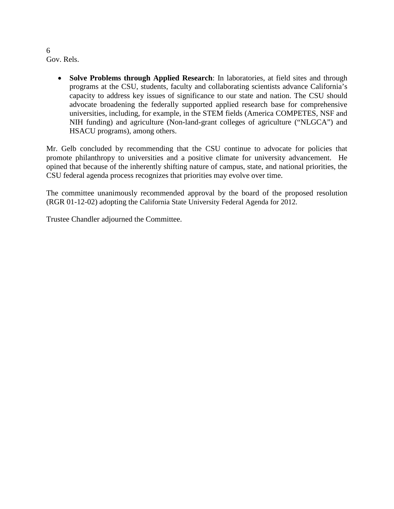6 Gov. Rels.

> • **Solve Problems through Applied Research**: In laboratories, at field sites and through programs at the CSU, students, faculty and collaborating scientists advance California's capacity to address key issues of significance to our state and nation. The CSU should advocate broadening the federally supported applied research base for comprehensive universities, including, for example, in the STEM fields (America COMPETES, NSF and NIH funding) and agriculture (Non-land-grant colleges of agriculture ("NLGCA") and HSACU programs), among others.

Mr. Gelb concluded by recommending that the CSU continue to advocate for policies that promote philanthropy to universities and a positive climate for university advancement. He opined that because of the inherently shifting nature of campus, state, and national priorities, the CSU federal agenda process recognizes that priorities may evolve over time.

The committee unanimously recommended approval by the board of the proposed resolution (RGR 01-12-02) adopting the California State University Federal Agenda for 2012.

Trustee Chandler adjourned the Committee.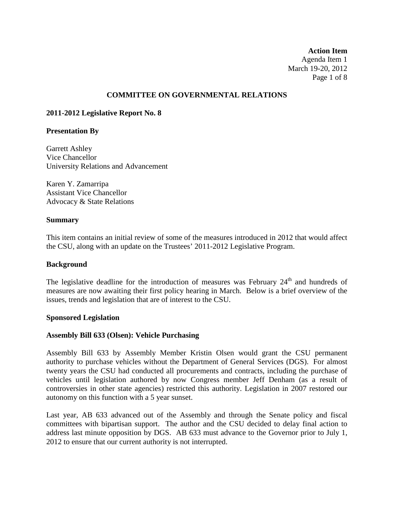**Action Item** Agenda Item 1 March 19-20, 2012 Page 1 of 8

### **COMMITTEE ON GOVERNMENTAL RELATIONS**

### **2011-2012 Legislative Report No. 8**

#### **Presentation By**

Garrett Ashley Vice Chancellor University Relations and Advancement

Karen Y. Zamarripa Assistant Vice Chancellor Advocacy & State Relations

#### **Summary**

This item contains an initial review of some of the measures introduced in 2012 that would affect the CSU, along with an update on the Trustees' 2011-2012 Legislative Program.

#### **Background**

The legislative deadline for the introduction of measures was February  $24<sup>th</sup>$  and hundreds of measures are now awaiting their first policy hearing in March. Below is a brief overview of the issues, trends and legislation that are of interest to the CSU.

#### **Sponsored Legislation**

## **Assembly Bill 633 (Olsen): Vehicle Purchasing**

Assembly Bill 633 by Assembly Member Kristin Olsen would grant the CSU permanent authority to purchase vehicles without the Department of General Services (DGS). For almost twenty years the CSU had conducted all procurements and contracts, including the purchase of vehicles until legislation authored by now Congress member Jeff Denham (as a result of controversies in other state agencies) restricted this authority. Legislation in 2007 restored our autonomy on this function with a 5 year sunset.

Last year, AB 633 advanced out of the Assembly and through the Senate policy and fiscal committees with bipartisan support. The author and the CSU decided to delay final action to address last minute opposition by DGS. AB 633 must advance to the Governor prior to July 1, 2012 to ensure that our current authority is not interrupted.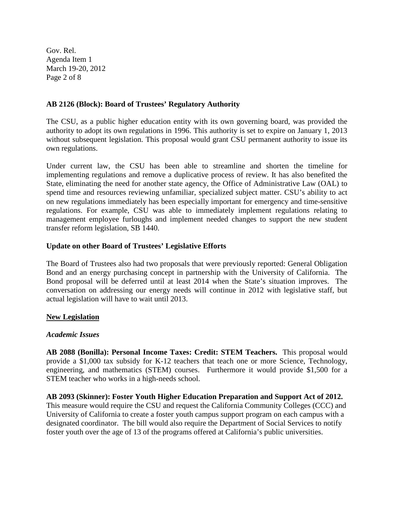Gov. Rel. Agenda Item 1 March 19-20, 2012 Page 2 of 8

## **AB 2126 (Block): Board of Trustees' Regulatory Authority**

The CSU, as a public higher education entity with its own governing board, was provided the authority to adopt its own regulations in 1996. This authority is set to expire on January 1, 2013 without subsequent legislation. This proposal would grant CSU permanent authority to issue its own regulations.

Under current law, the CSU has been able to streamline and shorten the timeline for implementing regulations and remove a duplicative process of review. It has also benefited the State, eliminating the need for another state agency, the Office of Administrative Law (OAL) to spend time and resources reviewing unfamiliar, specialized subject matter. CSU's ability to act on new regulations immediately has been especially important for emergency and time-sensitive regulations. For example, CSU was able to immediately implement regulations relating to management employee furloughs and implement needed changes to support the new student transfer reform legislation, SB 1440.

## **Update on other Board of Trustees' Legislative Efforts**

The Board of Trustees also had two proposals that were previously reported: General Obligation Bond and an energy purchasing concept in partnership with the University of California. The Bond proposal will be deferred until at least 2014 when the State's situation improves. The conversation on addressing our energy needs will continue in 2012 with legislative staff, but actual legislation will have to wait until 2013.

## **New Legislation**

## *Academic Issues*

**AB 2088 (Bonilla): Personal Income Taxes: Credit: STEM Teachers.** This proposal would provide a \$1,000 tax subsidy for K-12 teachers that teach one or more Science, Technology, engineering, and mathematics (STEM) courses. Furthermore it would provide \$1,500 for a STEM teacher who works in a high-needs school.

**AB 2093 (Skinner): Foster Youth Higher Education Preparation and Support Act of 2012.** This measure would require the CSU and request the California Community Colleges (CCC) and University of California to create a foster youth campus support program on each campus with a designated coordinator. The bill would also require the Department of Social Services to notify foster youth over the age of 13 of the programs offered at California's public universities.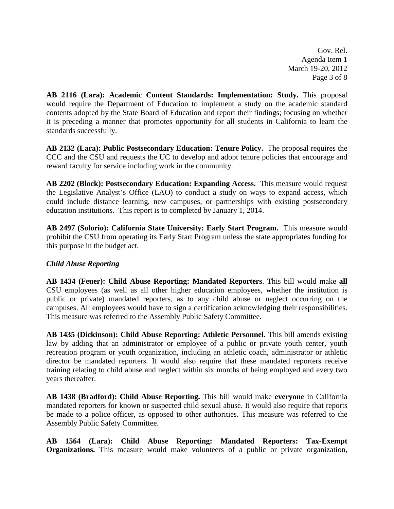Gov. Rel. Agenda Item 1 March 19-20, 2012 Page 3 of 8

**AB 2116 (Lara): Academic Content Standards: Implementation: Study.** This proposal would require the Department of Education to implement a study on the academic standard contents adopted by the State Board of Education and report their findings; focusing on whether it is preceding a manner that promotes opportunity for all students in California to learn the standards successfully.

**AB 2132 (Lara): Public Postsecondary Education: Tenure Policy.** The proposal requires the CCC and the CSU and requests the UC to develop and adopt tenure policies that encourage and reward faculty for service including work in the community.

**AB 2202 (Block): Postsecondary Education: Expanding Access.** This measure would request the Legislative Analyst's Office (LAO) to conduct a study on ways to expand access, which could include distance learning, new campuses, or partnerships with existing postsecondary education institutions. This report is to completed by January 1, 2014.

**AB 2497 (Solorio): California State University: Early Start Program.** This measure would prohibit the CSU from operating its Early Start Program unless the state appropriates funding for this purpose in the budget act.

# *Child Abuse Reporting*

**AB 1434 (Feuer): Child Abuse Reporting: Mandated Reporters**. This bill would make **all** CSU employees (as well as all other higher education employees, whether the institution is public or private) mandated reporters, as to any child abuse or neglect occurring on the campuses. All employees would have to sign a certification acknowledging their responsibilities. This measure was referred to the Assembly Public Safety Committee.

**AB 1435 (Dickinson): Child Abuse Reporting: Athletic Personnel.** This bill amends existing law by adding that an administrator or employee of a public or private youth center, youth recreation program or youth organization, including an athletic coach, administrator or athletic director be mandated reporters. It would also require that these mandated reporters receive training relating to child abuse and neglect within six months of being employed and every two years thereafter.

**AB 1438 (Bradford): Child Abuse Reporting.** This bill would make **everyone** in California mandated reporters for known or suspected child sexual abuse. It would also require that reports be made to a police officer, as opposed to other authorities. This measure was referred to the Assembly Public Safety Committee.

**AB 1564 (Lara): Child Abuse Reporting: Mandated Reporters: Tax-Exempt Organizations.** This measure would make volunteers of a public or private organization,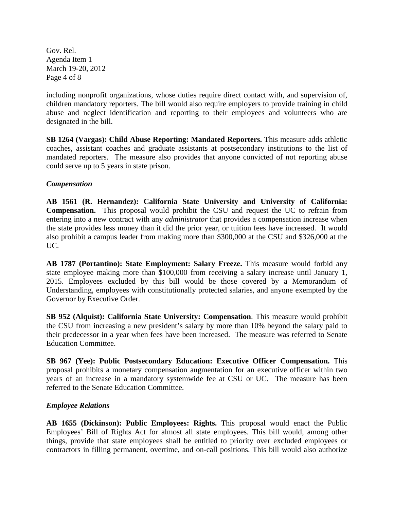Gov. Rel. Agenda Item 1 March 19-20, 2012 Page 4 of 8

including nonprofit organizations, whose duties require direct contact with, and supervision of, children mandatory reporters. The bill would also require employers to provide training in child abuse and neglect identification and reporting to their employees and volunteers who are designated in the bill.

**SB 1264 (Vargas): Child Abuse Reporting: Mandated Reporters.** This measure adds athletic coaches, assistant coaches and graduate assistants at postsecondary institutions to the list of mandated reporters. The measure also provides that anyone convicted of not reporting abuse could serve up to 5 years in state prison.

## *Compensation*

**AB 1561 (R. Hernandez): California State University and University of California: Compensation.** This proposal would prohibit the CSU and request the UC to refrain from entering into a new contract with any *administrator* that provides a compensation increase when the state provides less money than it did the prior year, or tuition fees have increased. It would also prohibit a campus leader from making more than \$300,000 at the CSU and \$326,000 at the UC.

**AB 1787 (Portantino): State Employment: Salary Freeze.** This measure would forbid any state employee making more than \$100,000 from receiving a salary increase until January 1, 2015. Employees excluded by this bill would be those covered by a Memorandum of Understanding, employees with constitutionally protected salaries, and anyone exempted by the Governor by Executive Order.

**SB 952 (Alquist): California State University: Compensation**. This measure would prohibit the CSU from increasing a new president's salary by more than 10% beyond the salary paid to their predecessor in a year when fees have been increased. The measure was referred to Senate Education Committee.

**SB 967 (Yee): Public Postsecondary Education: Executive Officer Compensation.** This proposal prohibits a monetary compensation augmentation for an executive officer within two years of an increase in a mandatory systemwide fee at CSU or UC. The measure has been referred to the Senate Education Committee.

## *Employee Relations*

**AB 1655 (Dickinson): Public Employees: Rights.** This proposal would enact the Public Employees' Bill of Rights Act for almost all state employees. This bill would, among other things, provide that state employees shall be entitled to priority over excluded employees or contractors in filling permanent, overtime, and on-call positions. This bill would also authorize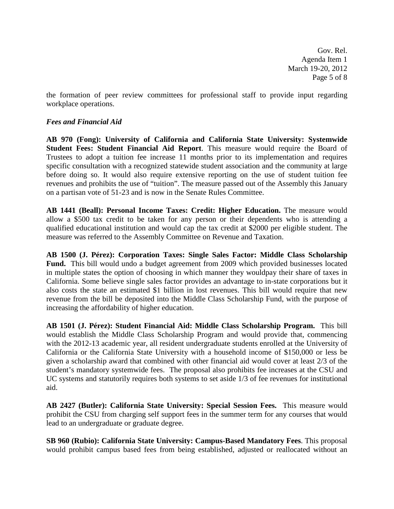Gov. Rel. Agenda Item 1 March 19-20, 2012 Page 5 of 8

the formation of peer review committees for professional staff to provide input regarding workplace operations.

## *Fees and Financial Aid*

**AB 970 (Fong): University of California and California State University: Systemwide Student Fees: Student Financial Aid Report**. This measure would require the Board of Trustees to adopt a tuition fee increase 11 months prior to its implementation and requires specific consultation with a recognized statewide student association and the community at large before doing so. It would also require extensive reporting on the use of student tuition fee revenues and prohibits the use of "tuition". The measure passed out of the Assembly this January on a partisan vote of 51-23 and is now in the Senate Rules Committee.

**AB 1441 (Beall): Personal Income Taxes: Credit: Higher Education.** The measure would allow a \$500 tax credit to be taken for any person or their dependents who is attending a qualified educational institution and would cap the tax credit at \$2000 per eligible student. The measure was referred to the Assembly Committee on Revenue and Taxation.

**AB 1500 (J. Pérez): Corporation Taxes: Single Sales Factor: Middle Class Scholarship Fund.** This bill would undo a budget agreement from 2009 which provided businesses located in multiple states the option of choosing in which manner they wouldpay their share of taxes in California. Some believe single sales factor provides an advantage to in-state corporations but it also costs the state an estimated \$1 billion in lost revenues. This bill would require that new revenue from the bill be deposited into the Middle Class Scholarship Fund, with the purpose of increasing the affordability of higher education.

**AB 1501 (J. Pérez): Student Financial Aid: Middle Class Scholarship Program.** This bill would establish the Middle Class Scholarship Program and would provide that, commencing with the 2012-13 academic year, all resident undergraduate students enrolled at the University of California or the California State University with a household income of \$150,000 or less be given a scholarship award that combined with other financial aid would cover at least 2/3 of the student's mandatory systemwide fees. The proposal also prohibits fee increases at the CSU and UC systems and statutorily requires both systems to set aside 1/3 of fee revenues for institutional aid.

**AB 2427 (Butler): California State University: Special Session Fees.** This measure would prohibit the CSU from charging self support fees in the summer term for any courses that would lead to an undergraduate or graduate degree.

**SB 960 (Rubio): California State University: Campus-Based Mandatory Fees**. This proposal would prohibit campus based fees from being established, adjusted or reallocated without an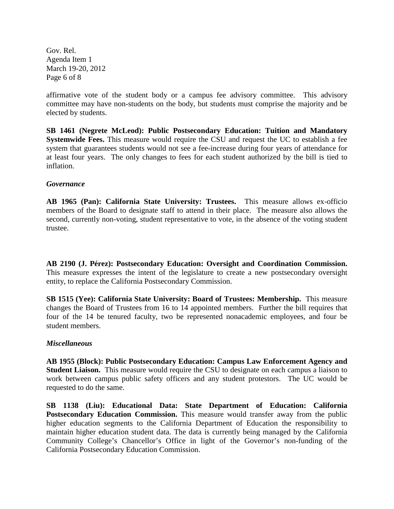Gov. Rel. Agenda Item 1 March 19-20, 2012 Page 6 of 8

affirmative vote of the student body or a campus fee advisory committee. This advisory committee may have non-students on the body, but students must comprise the majority and be elected by students.

**SB 1461 (Negrete McLeod): Public Postsecondary Education: Tuition and Mandatory Systemwide Fees.** This measure would require the CSU and request the UC to establish a fee system that guarantees students would not see a fee-increase during four years of attendance for at least four years. The only changes to fees for each student authorized by the bill is tied to inflation.

## *Governance*

**AB 1965 (Pan): California State University: Trustees.** This measure allows ex-officio members of the Board to designate staff to attend in their place. The measure also allows the second, currently non-voting, student representative to vote, in the absence of the voting student trustee.

**AB 2190 (J. Pérez): Postsecondary Education: Oversight and Coordination Commission.**  This measure expresses the intent of the legislature to create a new postsecondary oversight entity, to replace the California Postsecondary Commission.

**SB 1515 (Yee): California State University: Board of Trustees: Membership.** This measure changes the Board of Trustees from 16 to 14 appointed members. Further the bill requires that four of the 14 be tenured faculty, two be represented nonacademic employees, and four be student members.

## *Miscellaneous*

**AB 1955 (Block): Public Postsecondary Education: Campus Law Enforcement Agency and Student Liaison.** This measure would require the CSU to designate on each campus a liaison to work between campus public safety officers and any student protestors. The UC would be requested to do the same.

**SB 1138 (Liu): Educational Data: State Department of Education: California Postsecondary Education Commission.** This measure would transfer away from the public higher education segments to the California Department of Education the responsibility to maintain higher education student data. The data is currently being managed by the California Community College's Chancellor's Office in light of the Governor's non-funding of the California Postsecondary Education Commission.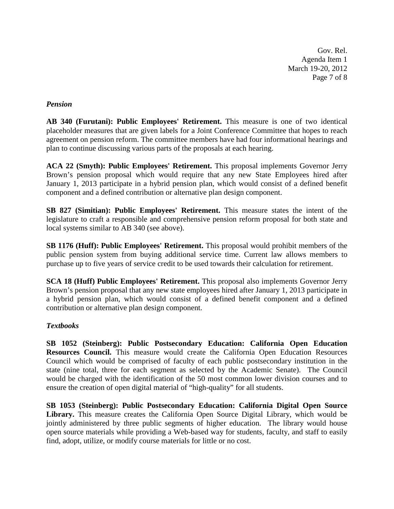Gov. Rel. Agenda Item 1 March 19-20, 2012 Page 7 of 8

## *Pension*

**AB 340 (Furutani): Public Employees' Retirement.** This measure is one of two identical placeholder measures that are given labels for a Joint Conference Committee that hopes to reach agreement on pension reform. The committee members have had four informational hearings and plan to continue discussing various parts of the proposals at each hearing.

**ACA 22 (Smyth): Public Employees' Retirement.** This proposal implements Governor Jerry Brown's pension proposal which would require that any new State Employees hired after January 1, 2013 participate in a hybrid pension plan, which would consist of a defined benefit component and a defined contribution or alternative plan design component.

**SB 827 (Simitian): Public Employees' Retirement.** This measure states the intent of the legislature to craft a responsible and comprehensive pension reform proposal for both state and local systems similar to AB 340 (see above).

**SB 1176 (Huff): Public Employees' Retirement.** This proposal would prohibit members of the public pension system from buying additional service time. Current law allows members to purchase up to five years of service credit to be used towards their calculation for retirement.

**SCA 18 (Huff) Public Employees' Retirement.** This proposal also implements Governor Jerry Brown's pension proposal that any new state employees hired after January 1, 2013 participate in a hybrid pension plan, which would consist of a defined benefit component and a defined contribution or alternative plan design component.

## *Textbooks*

**SB 1052 (Steinberg): Public Postsecondary Education: California Open Education Resources Council.** This measure would create the California Open Education Resources Council which would be comprised of faculty of each public postsecondary institution in the state (nine total, three for each segment as selected by the Academic Senate). The Council would be charged with the identification of the 50 most common lower division courses and to ensure the creation of open digital material of "high-quality" for all students.

**SB 1053 (Steinberg): Public Postsecondary Education: California Digital Open Source Library.** This measure creates the California Open Source Digital Library, which would be jointly administered by three public segments of higher education. The library would house open source materials while providing a Web-based way for students, faculty, and staff to easily find, adopt, utilize, or modify course materials for little or no cost.